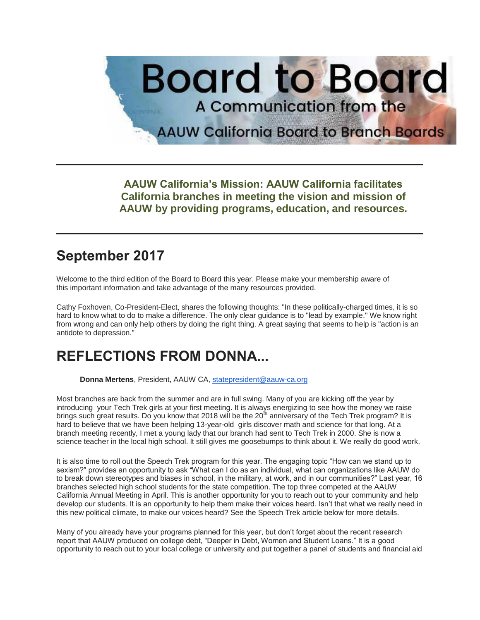

**AAUW California's Mission: AAUW California facilitates California branches in meeting the vision and mission of AAUW by providing programs, education, and resources.**

### **September 2017**

Welcome to the third edition of the Board to Board this year. Please make your membership aware of this important information and take advantage of the many resources provided.

Cathy Foxhoven, Co-President-Elect, shares the following thoughts: "In these politically-charged times, it is so hard to know what to do to make a difference. The only clear guidance is to "lead by example." We know right from wrong and can only help others by doing the right thing. A great saying that seems to help is "action is an antidote to depression."

## **REFLECTIONS FROM DONNA...**

**Donna Mertens**, President, AAUW CA, [statepresident@aauw-ca.org](mailto:statepresident@aauw-ca.org)

Most branches are back from the summer and are in full swing. Many of you are kicking off the year by introducing your Tech Trek girls at your first meeting. It is always energizing to see how the money we raise brings such great results. Do you know that 2018 will be the 20<sup>th</sup> anniversary of the Tech Trek program? It is hard to believe that we have been helping 13-year-old girls discover math and science for that long. At a branch meeting recently, I met a young lady that our branch had sent to Tech Trek in 2000. She is now a science teacher in the local high school. It still gives me goosebumps to think about it. We really do good work.

It is also time to roll out the Speech Trek program for this year. The engaging topic "How can we stand up to sexism?" provides an opportunity to ask "What can I do as an individual, what can organizations like AAUW do to break down stereotypes and biases in school, in the military, at work, and in our communities?" Last year, 16 branches selected high school students for the state competition. The top three competed at the AAUW California Annual Meeting in April. This is another opportunity for you to reach out to your community and help develop our students. It is an opportunity to help them make their voices heard. Isn't that what we really need in this new political climate, to make our voices heard? See the Speech Trek article below for more details.

Many of you already have your programs planned for this year, but don't forget about the recent research report that AAUW produced on college debt, "Deeper in Debt, Women and Student Loans." It is a good opportunity to reach out to your local college or university and put together a panel of students and financial aid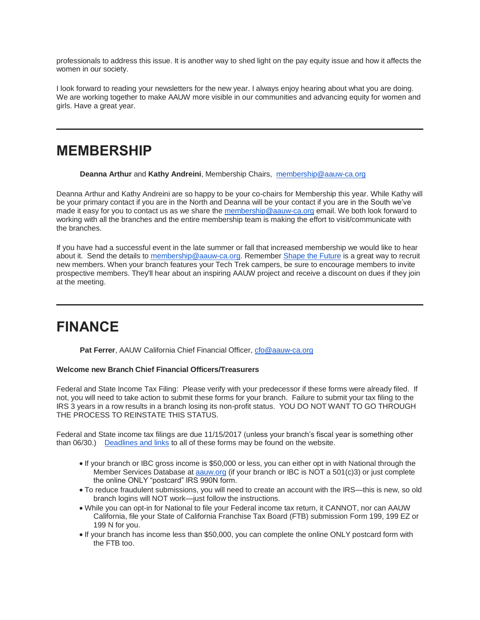professionals to address this issue. It is another way to shed light on the pay equity issue and how it affects the women in our society.

I look forward to reading your newsletters for the new year. I always enjoy hearing about what you are doing. We are working together to make AAUW more visible in our communities and advancing equity for women and girls. Have a great year.

#### **MEMBERSHIP**

**Deanna Arthur** and **Kathy Andreini**, Membership Chairs, [membership@aauw-ca.org](mailto:membership@aauw-ca.org)

Deanna Arthur and Kathy Andreini are so happy to be your co-chairs for Membership this year. While Kathy will be your primary contact if you are in the North and Deanna will be your contact if you are in the South we've made it easy for you to contact us as we share the [membership@aauw-ca.org](mailto:membership@aauw-ca.org) email. We both look forward to working with all the branches and the entire membership team is making the effort to visit/communicate with the branches.

If you have had a successful event in the late summer or fall that increased membership we would like to hear about it. Send the details to [membership@aauw-ca.org.](mailto:membership@aauw-ca.org) Remember [Shape the Future](https://bor.aauw-ca.org/sendy/l/YlrJ763AeyF892b51vFm0EptRw/Y10w7lTt892tHZYP9BT6iErg/rkDX1dP6pVSJ8TJLBYcXPA) is a great way to recruit new members. When your branch features your Tech Trek campers, be sure to encourage members to invite prospective members. They'll hear about an inspiring AAUW project and receive a discount on dues if they join at the meeting.

### **FINANCE**

**Pat Ferrer**, AAUW California Chief Financial Officer, [cfo@aauw-ca.org](mailto:cfo@aauw-ca.org)

#### **Welcome new Branch Chief Financial Officers/Treasurers**

Federal and State Income Tax Filing: Please verify with your predecessor if these forms were already filed. If not, you will need to take action to submit these forms for your branch. Failure to submit your tax filing to the IRS 3 years in a row results in a branch losing its non-profit status. YOU DO NOT WANT TO GO THROUGH THE PROCESS TO REINSTATE THIS STATUS.

Federal and State income tax filings are due 11/15/2017 (unless your branch's fiscal year is something other than 06/30.) [Deadlines and links](https://bor.aauw-ca.org/sendy/l/YlrJ763AeyF892b51vFm0EptRw/a7oQ892477638925L9763sJPqwKdyA/rkDX1dP6pVSJ8TJLBYcXPA) to all of these forms may be found on the website.

- If your branch or IBC gross income is \$50,000 or less, you can either opt in with National through the Member Services Database at **[aauw.org](http://aauw.org/)** (if your branch or IBC is NOT a 501(c)3) or just complete the online ONLY "postcard" IRS 990N form.
- To reduce fraudulent submissions, you will need to create an account with the IRS—this is new, so old branch logins will NOT work—just follow the instructions.
- While you can opt-in for National to file your Federal income tax return, it CANNOT, nor can AAUW California, file your State of California Franchise Tax Board (FTB) submission Form 199, 199 EZ or 199 N for you.
- If your branch has income less than \$50,000, you can complete the online ONLY postcard form with the FTB too.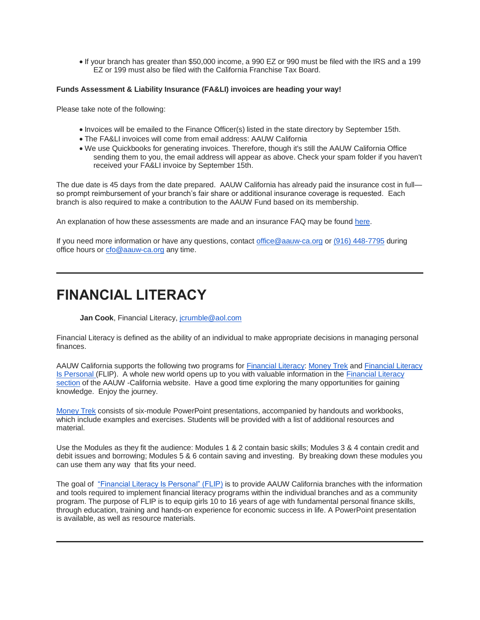If your branch has greater than \$50,000 income, a 990 EZ or 990 must be filed with the IRS and a 199 EZ or 199 must also be filed with the California Franchise Tax Board.

#### **Funds Assessment & Liability Insurance (FA&LI) invoices are heading your way!**

Please take note of the following:

- Invoices will be emailed to the Finance Officer(s) listed in the state directory by September 15th.
- The FA&LI invoices will come from email address: AAUW California
- We use Quickbooks for generating invoices. Therefore, though it's still the AAUW California Office sending them to you, the email address will appear as above. Check your spam folder if you haven't received your FA&LI invoice by September 15th.

The due date is 45 days from the date prepared. AAUW California has already paid the insurance cost in full so prompt reimbursement of your branch's fair share or additional insurance coverage is requested. Each branch is also required to make a contribution to the AAUW Fund based on its membership.

An explanation of how these assessments are made and an insurance FAQ may be found [here.](https://bor.aauw-ca.org/sendy/l/YlrJ763AeyF892b51vFm0EptRw/4OOdQwo3E0XRhgtowY5CWA/rkDX1dP6pVSJ8TJLBYcXPA)

If you need more information or have any questions, contact [office@aauw-ca.org](mailto:office@aauw-ca.org) or [\(916\) 448-7795](tel:(916)%20448-7795) during office hours or [cfo@aauw-ca.org](mailto:cfo@aauw-ca.org) any time.

### **FINANCIAL LITERACY**

**Jan Cook**, Financial Literacy, [jcrumble@aol.com](mailto:jcrumble@aol.com)

Financial Literacy is defined as the ability of an individual to make appropriate decisions in managing personal finances.

AAUW California supports the following two programs for [Financial Literacy:](https://bor.aauw-ca.org/sendy/l/YlrJ763AeyF892b51vFm0EptRw/iScoNYXle4PC0MBlijh763cg/rkDX1dP6pVSJ8TJLBYcXPA) [Money Trek](https://bor.aauw-ca.org/sendy/l/YlrJ763AeyF892b51vFm0EptRw/g892lopyJxXN9W2N2T00mh2w/rkDX1dP6pVSJ8TJLBYcXPA) and [Financial Literacy](https://bor.aauw-ca.org/sendy/l/YlrJ763AeyF892b51vFm0EptRw/9MSWcVsyH6ynsuuekSvgLg/rkDX1dP6pVSJ8TJLBYcXPA)  [Is Personal](https://bor.aauw-ca.org/sendy/l/YlrJ763AeyF892b51vFm0EptRw/9MSWcVsyH6ynsuuekSvgLg/rkDX1dP6pVSJ8TJLBYcXPA) (FLIP). A whole new world opens up to you with valuable information in the [Financial Literacy](https://bor.aauw-ca.org/sendy/l/YlrJ763AeyF892b51vFm0EptRw/iScoNYXle4PC0MBlijh763cg/rkDX1dP6pVSJ8TJLBYcXPA)  [section](https://bor.aauw-ca.org/sendy/l/YlrJ763AeyF892b51vFm0EptRw/iScoNYXle4PC0MBlijh763cg/rkDX1dP6pVSJ8TJLBYcXPA) of the AAUW -California website. Have a good time exploring the many opportunities for gaining knowledge. Enjoy the journey.

[Money Trek](https://bor.aauw-ca.org/sendy/l/YlrJ763AeyF892b51vFm0EptRw/g892lopyJxXN9W2N2T00mh2w/rkDX1dP6pVSJ8TJLBYcXPA) consists of six-module PowerPoint presentations, accompanied by handouts and workbooks, which include examples and exercises. Students will be provided with a list of additional resources and material.

Use the Modules as they fit the audience: Modules 1 & 2 contain basic skills; Modules 3 & 4 contain credit and debit issues and borrowing; Modules 5 & 6 contain saving and investing. By breaking down these modules you can use them any way that fits your need.

The goal of ["Financial Literacy Is Personal" \(FLIP\)](https://bor.aauw-ca.org/sendy/l/YlrJ763AeyF892b51vFm0EptRw/9MSWcVsyH6ynsuuekSvgLg/rkDX1dP6pVSJ8TJLBYcXPA) is to provide AAUW California branches with the information and tools required to implement financial literacy programs within the individual branches and as a community program. The purpose of FLIP is to equip girls 10 to 16 years of age with fundamental personal finance skills, through education, training and hands-on experience for economic success in life. A PowerPoint presentation is available, as well as resource materials.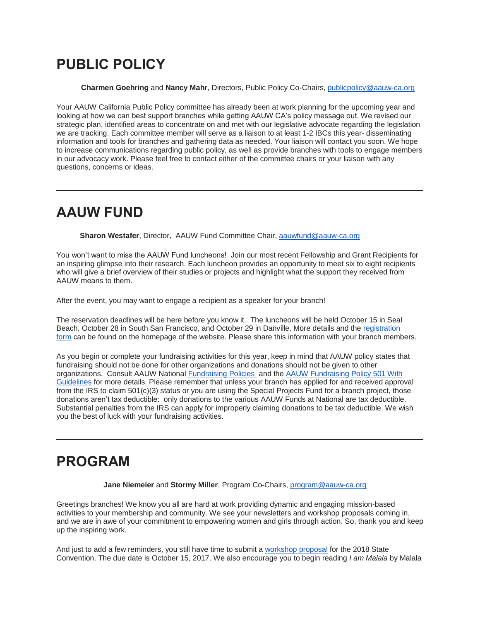## **PUBLIC POLICY**

**Charmen Goehring** and **Nancy Mahr**, Directors, Public Policy Co-Chairs, [publicpolicy@aauw-ca.org](mailto:publicpolicy@aauw-ca.org)

Your AAUW California Public Policy committee has already been at work planning for the upcoming year and looking at how we can best support branches while getting AAUW CA's policy message out. We revised our strategic plan, identified areas to concentrate on and met with our legislative advocate regarding the legislation we are tracking. Each committee member will serve as a liaison to at least 1-2 IBCs this year- disseminating information and tools for branches and gathering data as needed. Your liaison will contact you soon. We hope to increase communications regarding public policy, as well as provide branches with tools to engage members in our advocacy work. Please feel free to contact either of the committee chairs or your liaison with any questions, concerns or ideas.

### **AAUW FUND**

**Sharon Westafer**, Director, AAUW Fund Committee Chair, [aauwfund@aauw-ca.org](mailto:aauwfund@aauw-ca.org)

You won't want to miss the AAUW Fund luncheons! Join our most recent Fellowship and Grant Recipients for an inspiring glimpse into their research. Each luncheon provides an opportunity to meet six to eight recipients who will give a brief overview of their studies or projects and highlight what the support they received from AAUW means to them.

After the event, you may want to engage a recipient as a speaker for your branch!

The reservation deadlines will be here before you know it. The luncheons will be held October 15 in Seal Beach, October 28 in South San Francisco, and October 29 in Danville. More details and the [registration](https://bor.aauw-ca.org/sendy/l/YlrJ763AeyF892b51vFm0EptRw/TumxYoOG892f763Q3O5z16H6Yg/rkDX1dP6pVSJ8TJLBYcXPA)  [form](https://bor.aauw-ca.org/sendy/l/YlrJ763AeyF892b51vFm0EptRw/TumxYoOG892f763Q3O5z16H6Yg/rkDX1dP6pVSJ8TJLBYcXPA) can be found on the homepage of the website. Please share this information with your branch members.

As you begin or complete your fundraising activities for this year, keep in mind that AAUW policy states that fundraising should not be done for other organizations and donations should not be given to other organizations. Consult AAUW National [Fundraising Policies](https://bor.aauw-ca.org/sendy/l/YlrJ763AeyF892b51vFm0EptRw/wbM7EPVyog6iTpxoS5XSzw/rkDX1dP6pVSJ8TJLBYcXPA) and the [AAUW Fundraising Policy 501 With](https://bor.aauw-ca.org/sendy/l/YlrJ763AeyF892b51vFm0EptRw/TqjBV3zNJbzrhZGr00Qk0Q/rkDX1dP6pVSJ8TJLBYcXPA)  [Guidelines](https://bor.aauw-ca.org/sendy/l/YlrJ763AeyF892b51vFm0EptRw/TqjBV3zNJbzrhZGr00Qk0Q/rkDX1dP6pVSJ8TJLBYcXPA) for more details. Please remember that unless your branch has applied for and received approval from the IRS to claim 501(c)(3) status or you are using the Special Projects Fund for a branch project, those donations aren't tax deductible: only donations to the various AAUW Funds at National are tax deductible. Substantial penalties from the IRS can apply for improperly claiming donations to be tax deductible. We wish you the best of luck with your fundraising activities.

## **PROGRAM**

**Jane Niemeier** and **Stormy Miller**, Program Co-Chairs, [program@aauw-ca.org](mailto:program@aauw-ca.org)

Greetings branches! We know you all are hard at work providing dynamic and engaging mission-based activities to your membership and community. We see your newsletters and workshop proposals coming in, and we are in awe of your commitment to empowering women and girls through action. So, thank you and keep up the inspiring work.

And just to add a few reminders, you still have time to submit a [workshop proposal](https://bor.aauw-ca.org/sendy/l/YlrJ763AeyF892b51vFm0EptRw/h9XCK892CDwEloobGsdBOnBg/rkDX1dP6pVSJ8TJLBYcXPA) for the 2018 State Convention. The due date is October 15, 2017. We also encourage you to begin reading *I am Malala* by Malala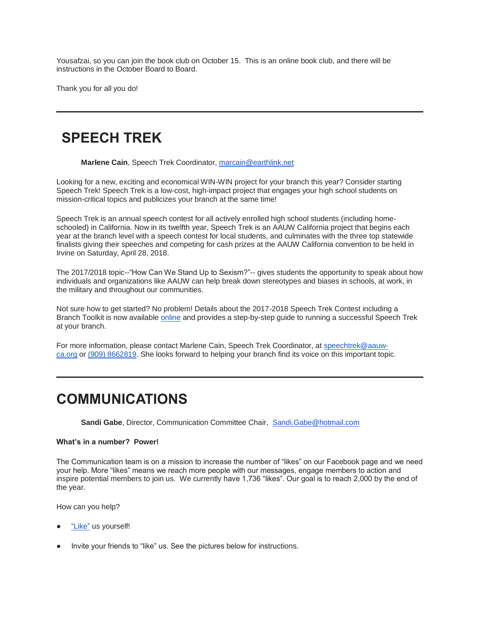Yousafzai, so you can join the book club on October 15. This is an online book club, and there will be instructions in the October Board to Board.

Thank you for all you do!

### **SPEECH TREK**

**Marlene Cain**, Speech Trek Coordinator, [marcain@earthlink.net](mailto:marcain@earthlink.net)

Looking for a new, exciting and economical WIN-WIN project for your branch this year? Consider starting Speech Trek! Speech Trek is a low-cost, high-impact project that engages your high school students on mission-critical topics and publicizes your branch at the same time!

Speech Trek is an annual speech contest for all actively enrolled high school students (including homeschooled) in California. Now in its twelfth year, Speech Trek is an AAUW California project that begins each year at the branch level with a speech contest for local students, and culminates with the three top statewide finalists giving their speeches and competing for cash prizes at the AAUW California convention to be held in Irvine on Saturday, April 28, 2018.

The 2017/2018 topic--"How Can We Stand Up to Sexism?"-- gives students the opportunity to speak about how individuals and organizations like AAUW can help break down stereotypes and biases in schools, at work, in the military and throughout our communities.

Not sure how to get started? No problem! Details about the 2017-2018 Speech Trek Contest including a Branch Toolkit is now available [online](https://bor.aauw-ca.org/sendy/l/YlrJ763AeyF892b51vFm0EptRw/CMsbLZhTQ3ooGhSm9KO2HA/rkDX1dP6pVSJ8TJLBYcXPA) and provides a step-by-step guide to running a successful Speech Trek at your branch.

For more information, please contact Marlene Cain, Speech Trek Coordinator, at [speechtrek@aauw](mailto:speechtrek@aauw-ca.org)[ca.org](mailto:speechtrek@aauw-ca.org) or [\(909\) 8662819.](tel:(909)%20866-2819) She looks forward to helping your branch find its voice on this important topic.

### **COMMUNICATIONS**

Sandi Gabe, Director, Communication Committee Chair, [Sandi.Gabe@hotmail.com](mailto:Sandi.Gabe@hotmail.com)

#### **What's in a number? Power!**

The Communication team is on a mission to increase the number of "likes" on our Facebook page and we need your help. More "likes" means we reach more people with our messages, engage members to action and inspire potential members to join us. We currently have 1,736 "likes". Our goal is to reach 2,000 by the end of the year.

How can you help?

- ["Like"](https://bor.aauw-ca.org/sendy/l/YlrJ763AeyF892b51vFm0EptRw/HW892oHGUsyHKcGjqmAc763goA/rkDX1dP6pVSJ8TJLBYcXPA) us yourself!
- Invite your friends to "like" us. See the pictures below for instructions.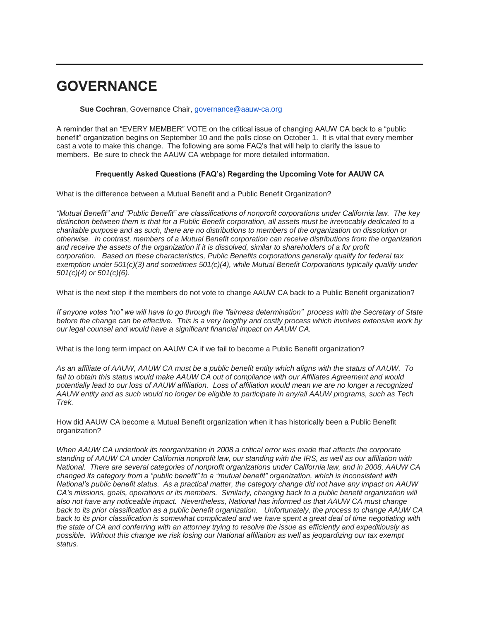### **GOVERNANCE**

**Sue Cochran**, Governance Chair, [governance@aauw-ca.org](mailto:governance@aauw-ca.org)

A reminder that an "EVERY MEMBER" VOTE on the critical issue of changing AAUW CA back to a "public benefit" organization begins on September 10 and the polls close on October 1. It is vital that every member cast a vote to make this change. The following are some FAQ's that will help to clarify the issue to members. Be sure to check the AAUW CA webpage for more detailed information.

#### **Frequently Asked Questions (FAQ's) Regarding the Upcoming Vote for AAUW CA**

What is the difference between a Mutual Benefit and a Public Benefit Organization?

*"Mutual Benefit" and "Public Benefit" are classifications of nonprofit corporations under California law. The key distinction between them is that for a Public Benefit corporation, all assets must be irrevocably dedicated to a charitable purpose and as such, there are no distributions to members of the organization on dissolution or otherwise. In contrast, members of a Mutual Benefit corporation can receive distributions from the organization and receive the assets of the organization if it is dissolved, similar to shareholders of a for profit corporation. Based on these characteristics, Public Benefits corporations generally qualify for federal tax exemption under 501(c)(3) and sometimes 501(c)(4), while Mutual Benefit Corporations typically qualify under 501(c)(4) or 501(c)(6).*

What is the next step if the members do not vote to change AAUW CA back to a Public Benefit organization?

*If anyone votes "no" we will have to go through the "fairness determination" process with the Secretary of State before the change can be effective. This is a very lengthy and costly process which involves extensive work by our legal counsel and would have a significant financial impact on AAUW CA.*

What is the long term impact on AAUW CA if we fail to become a Public Benefit organization?

*As an affiliate of AAUW, AAUW CA must be a public benefit entity which aligns with the status of AAUW. To*  fail to obtain this status would make AAUW CA out of compliance with our Affiliates Agreement and would *potentially lead to our loss of AAUW affiliation. Loss of affiliation would mean we are no longer a recognized AAUW entity and as such would no longer be eligible to participate in any/all AAUW programs, such as Tech Trek.*

How did AAUW CA become a Mutual Benefit organization when it has historically been a Public Benefit organization?

*When AAUW CA undertook its reorganization in 2008 a critical error was made that affects the corporate standing of AAUW CA under California nonprofit law, our standing with the IRS, as well as our affiliation with National. There are several categories of nonprofit organizations under California law, and in 2008, AAUW CA changed its category from a "public benefit" to a "mutual benefit" organization, which is inconsistent with National's public benefit status. As a practical matter, the category change did not have any impact on AAUW CA's missions, goals, operations or its members. Similarly, changing back to a public benefit organization will also not have any noticeable impact. Nevertheless, National has informed us that AAUW CA must change back to its prior classification as a public benefit organization. Unfortunately, the process to change AAUW CA back to its prior classification is somewhat complicated and we have spent a great deal of time negotiating with the state of CA and conferring with an attorney trying to resolve the issue as efficiently and expeditiously as possible. Without this change we risk losing our National affiliation as well as jeopardizing our tax exempt status.*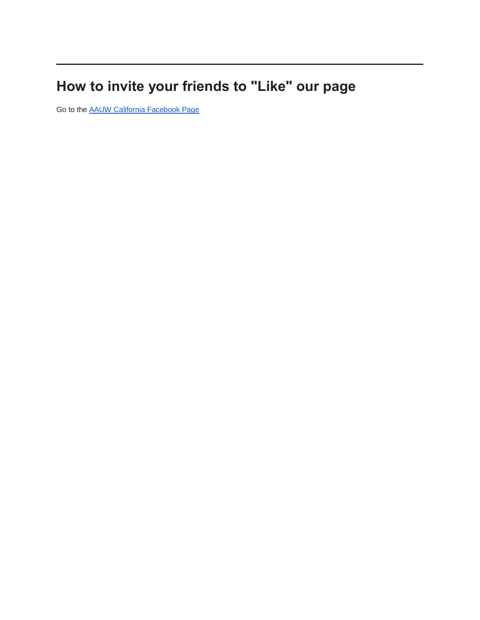# **How to invite your friends to "Like" our page**

Go to the [AAUW California Facebook Page](https://bor.aauw-ca.org/sendy/l/YlrJ763AeyF892b51vFm0EptRw/HW892oHGUsyHKcGjqmAc763goA/rkDX1dP6pVSJ8TJLBYcXPA)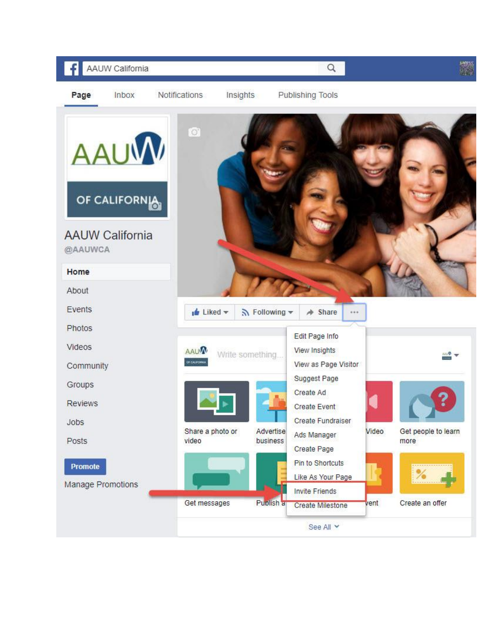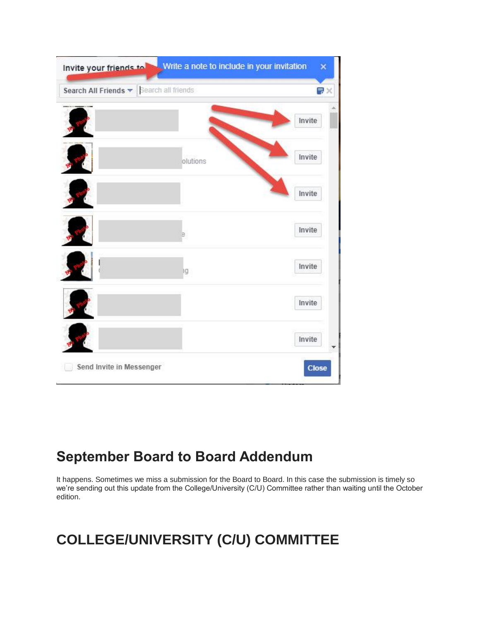| Write a note to include in your invitation<br>Invite your friends to<br>× |          |           |
|---------------------------------------------------------------------------|----------|-----------|
| Search All Friends v   Search all friends                                 |          | <b>最火</b> |
|                                                                           |          | Invite    |
|                                                                           | olutions | Invite    |
|                                                                           |          | Invite    |
|                                                                           |          | Invite    |
|                                                                           | ١g       | Invite    |
|                                                                           |          | Invite    |
|                                                                           |          | Invite    |
| Send Invite in Messenger                                                  |          | Close     |

# **September Board to Board Addendum**

It happens. Sometimes we miss a submission for the Board to Board. In this case the submission is timely so we're sending out this update from the College/University (C/U) Committee rather than waiting until the October edition.

# **COLLEGE/UNIVERSITY (C/U) COMMITTEE**